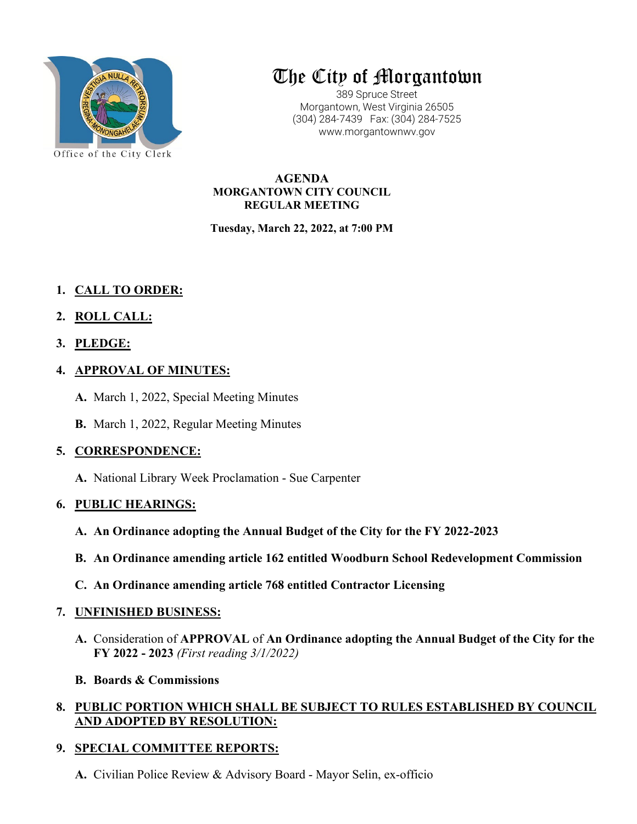

# The City of Morgantown

389 Spruce Street Morgantown, West Virginia 26505 (304) 284-7439 Fax: (304) 284-7525 www.morgantownwv.gov

**AGENDA MORGANTOWN CITY COUNCIL REGULAR MEETING**

**Tuesday, March 22, 2022, at 7:00 PM**

- **1. CALL TO ORDER:**
- **2. ROLL CALL:**
- **3. PLEDGE:**
- **4. APPROVAL OF MINUTES:**
	- **A.** March 1, 2022, Special Meeting Minutes
	- **B.** March 1, 2022, Regular Meeting Minutes

# **5. CORRESPONDENCE:**

**A.** National Library Week Proclamation - Sue Carpenter

# **6. PUBLIC HEARINGS:**

- **A. An Ordinance adopting the Annual Budget of the City for the FY 2022-2023**
- **B. An Ordinance amending article 162 entitled Woodburn School Redevelopment Commission**
- **C. An Ordinance amending article 768 entitled Contractor Licensing**

## **7. UNFINISHED BUSINESS:**

**A.** Consideration of **APPROVAL** of **An Ordinance adopting the Annual Budget of the City for the FY 2022 - 2023** *(First reading 3/1/2022)*

## **B. Boards & Commissions**

# **8. PUBLIC PORTION WHICH SHALL BE SUBJECT TO RULES ESTABLISHED BY COUNCIL AND ADOPTED BY RESOLUTION:**

# **9. SPECIAL COMMITTEE REPORTS:**

**A.** Civilian Police Review & Advisory Board - Mayor Selin, ex-officio